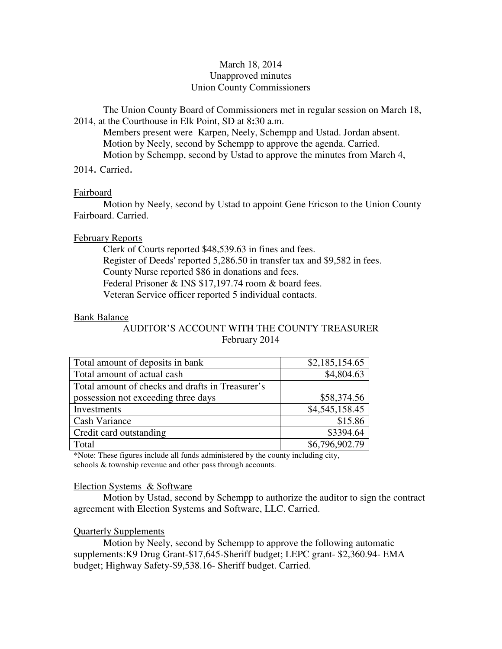# March 18, 2014 Unapproved minutes Union County Commissioners

The Union County Board of Commissioners met in regular session on March 18, 2014, at the Courthouse in Elk Point, SD at 8**:**30 a.m.

 Members present were Karpen, Neely, Schempp and Ustad. Jordan absent. Motion by Neely, second by Schempp to approve the agenda. Carried. Motion by Schempp, second by Ustad to approve the minutes from March 4,

2014. Carried.

## Fairboard

 Motion by Neely, second by Ustad to appoint Gene Ericson to the Union County Fairboard. Carried.

# February Reports

 Clerk of Courts reported \$48,539.63 in fines and fees. Register of Deeds' reported 5,286.50 in transfer tax and \$9,582 in fees. County Nurse reported \$86 in donations and fees. Federal Prisoner & INS \$17,197.74 room & board fees. Veteran Service officer reported 5 individual contacts.

# Bank Balance

AUDITOR'S ACCOUNT WITH THE COUNTY TREASURER February 2014

| Total amount of deposits in bank                 | \$2,185,154.65 |
|--------------------------------------------------|----------------|
| Total amount of actual cash                      | \$4,804.63     |
| Total amount of checks and drafts in Treasurer's |                |
| possession not exceeding three days              | \$58,374.56    |
| Investments                                      | \$4,545,158.45 |
| Cash Variance                                    | \$15.86        |
| Credit card outstanding                          | \$3394.64      |
| Total                                            | \$6,796,902.79 |

\*Note: These figures include all funds administered by the county including city, schools & township revenue and other pass through accounts.

## Election Systems & Software

 Motion by Ustad, second by Schempp to authorize the auditor to sign the contract agreement with Election Systems and Software, LLC. Carried.

# Quarterly Supplements

 Motion by Neely, second by Schempp to approve the following automatic supplements:K9 Drug Grant-\$17,645-Sheriff budget; LEPC grant- \$2,360.94- EMA budget; Highway Safety-\$9,538.16- Sheriff budget. Carried.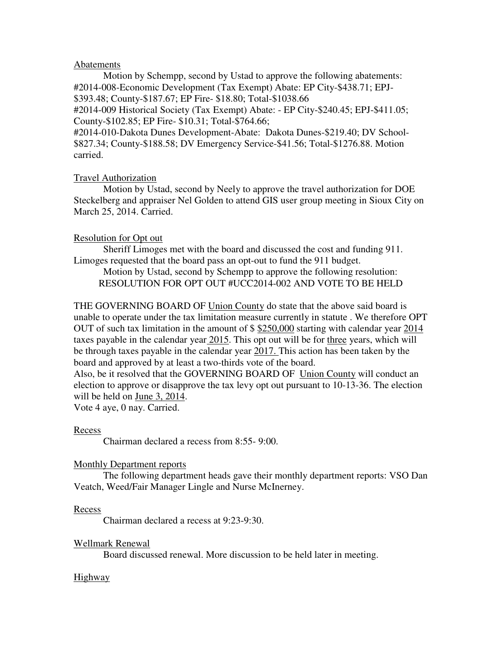## Abatements

 Motion by Schempp, second by Ustad to approve the following abatements: #2014-008-Economic Development (Tax Exempt) Abate: EP City-\$438.71; EPJ- \$393.48; County-\$187.67; EP Fire- \$18.80; Total-\$1038.66 #2014-009 Historical Society (Tax Exempt) Abate: - EP City-\$240.45; EPJ-\$411.05;

County-\$102.85; EP Fire- \$10.31; Total-\$764.66;

#2014-010-Dakota Dunes Development-Abate: Dakota Dunes-\$219.40; DV School- \$827.34; County-\$188.58; DV Emergency Service-\$41.56; Total-\$1276.88. Motion carried.

## Travel Authorization

 Motion by Ustad, second by Neely to approve the travel authorization for DOE Steckelberg and appraiser Nel Golden to attend GIS user group meeting in Sioux City on March 25, 2014. Carried.

#### Resolution for Opt out

 Sheriff Limoges met with the board and discussed the cost and funding 911. Limoges requested that the board pass an opt-out to fund the 911 budget.

 Motion by Ustad, second by Schempp to approve the following resolution: RESOLUTION FOR OPT OUT #UCC2014-002 AND VOTE TO BE HELD

THE GOVERNING BOARD OF Union County do state that the above said board is unable to operate under the tax limitation measure currently in statute . We therefore OPT OUT of such tax limitation in the amount of \$\$250,000 starting with calendar year 2014 taxes payable in the calendar year 2015. This opt out will be for three years, which will be through taxes payable in the calendar year 2017. This action has been taken by the board and approved by at least a two-thirds vote of the board.

Also, be it resolved that the GOVERNING BOARD OF Union County will conduct an election to approve or disapprove the tax levy opt out pursuant to 10-13-36. The election will be held on June 3, 2014.

Vote 4 aye, 0 nay. Carried.

#### Recess

Chairman declared a recess from 8:55- 9:00.

#### Monthly Department reports

 The following department heads gave their monthly department reports: VSO Dan Veatch, Weed/Fair Manager Lingle and Nurse McInerney.

#### Recess

Chairman declared a recess at 9:23-9:30.

## Wellmark Renewal

Board discussed renewal. More discussion to be held later in meeting.

#### Highway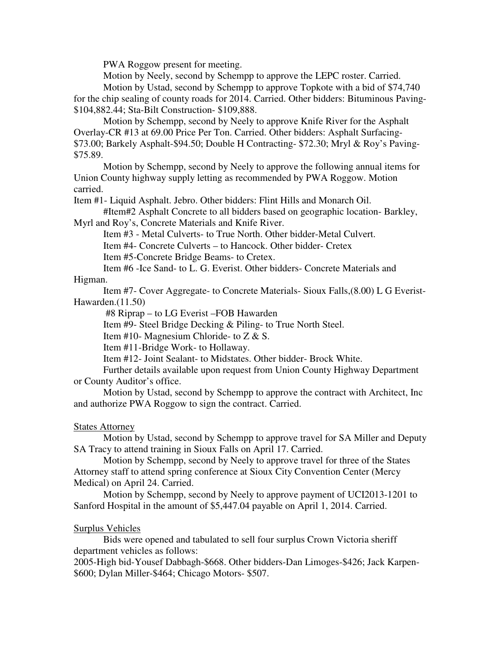PWA Roggow present for meeting.

Motion by Neely, second by Schempp to approve the LEPC roster. Carried.

 Motion by Ustad, second by Schempp to approve Topkote with a bid of \$74,740 for the chip sealing of county roads for 2014. Carried. Other bidders: Bituminous Paving- \$104,882.44; Sta-Bilt Construction- \$109,888.

 Motion by Schempp, second by Neely to approve Knife River for the Asphalt Overlay-CR #13 at 69.00 Price Per Ton. Carried. Other bidders: Asphalt Surfacing- \$73.00; Barkely Asphalt-\$94.50; Double H Contracting- \$72.30; Mryl & Roy's Paving- \$75.89.

 Motion by Schempp, second by Neely to approve the following annual items for Union County highway supply letting as recommended by PWA Roggow. Motion carried.

Item #1- Liquid Asphalt. Jebro. Other bidders: Flint Hills and Monarch Oil.

 #Item#2 Asphalt Concrete to all bidders based on geographic location- Barkley, Myrl and Roy's, Concrete Materials and Knife River.

Item #3 - Metal Culverts- to True North. Other bidder-Metal Culvert.

Item #4- Concrete Culverts – to Hancock. Other bidder- Cretex

Item #5-Concrete Bridge Beams- to Cretex.

Item #6 -Ice Sand- to L. G. Everist. Other bidders- Concrete Materials and Higman.

Item #7- Cover Aggregate- to Concrete Materials- Sioux Falls,(8.00) L G Everist-Hawarden.(11.50)

#8 Riprap – to LG Everist –FOB Hawarden

Item #9- Steel Bridge Decking & Piling- to True North Steel.

Item #10- Magnesium Chloride- to Z & S.

Item #11-Bridge Work- to Hollaway.

Item #12- Joint Sealant- to Midstates. Other bidder- Brock White.

 Further details available upon request from Union County Highway Department or County Auditor's office.

 Motion by Ustad, second by Schempp to approve the contract with Architect, Inc and authorize PWA Roggow to sign the contract. Carried.

# States Attorney

 Motion by Ustad, second by Schempp to approve travel for SA Miller and Deputy SA Tracy to attend training in Sioux Falls on April 17. Carried.

 Motion by Schempp, second by Neely to approve travel for three of the States Attorney staff to attend spring conference at Sioux City Convention Center (Mercy Medical) on April 24. Carried.

 Motion by Schempp, second by Neely to approve payment of UCI2013-1201 to Sanford Hospital in the amount of \$5,447.04 payable on April 1, 2014. Carried.

# Surplus Vehicles

 Bids were opened and tabulated to sell four surplus Crown Victoria sheriff department vehicles as follows:

2005-High bid-Yousef Dabbagh-\$668. Other bidders-Dan Limoges-\$426; Jack Karpen- \$600; Dylan Miller-\$464; Chicago Motors- \$507.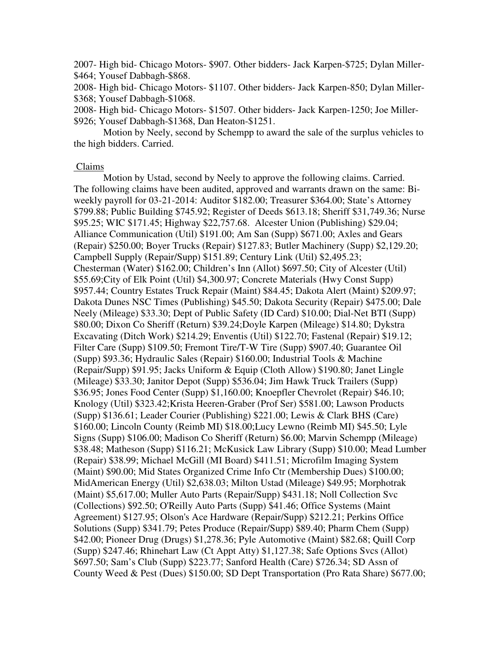2007- High bid- Chicago Motors- \$907. Other bidders- Jack Karpen-\$725; Dylan Miller- \$464; Yousef Dabbagh-\$868.

2008- High bid- Chicago Motors- \$1107. Other bidders- Jack Karpen-850; Dylan Miller- \$368; Yousef Dabbagh-\$1068.

2008- High bid- Chicago Motors- \$1507. Other bidders- Jack Karpen-1250; Joe Miller- \$926; Yousef Dabbagh-\$1368, Dan Heaton-\$1251.

 Motion by Neely, second by Schempp to award the sale of the surplus vehicles to the high bidders. Carried.

#### Claims

 Motion by Ustad, second by Neely to approve the following claims. Carried. The following claims have been audited, approved and warrants drawn on the same: Biweekly payroll for 03-21-2014: Auditor \$182.00; Treasurer \$364.00; State's Attorney \$799.88; Public Building \$745.92; Register of Deeds \$613.18; Sheriff \$31,749.36; Nurse \$95.25; WIC \$171.45; Highway \$22,757.68. Alcester Union (Publishing) \$29.04; Alliance Communication (Util) \$191.00; Am San (Supp) \$671.00; Axles and Gears (Repair) \$250.00; Boyer Trucks (Repair) \$127.83; Butler Machinery (Supp) \$2,129.20; Campbell Supply (Repair/Supp) \$151.89; Century Link (Util) \$2,495.23; Chesterman (Water) \$162.00; Children's Inn (Allot) \$697.50; City of Alcester (Util) \$55.69;City of Elk Point (Util) \$4,300.97; Concrete Materials (Hwy Const Supp) \$957.44; Country Estates Truck Repair (Maint) \$84.45; Dakota Alert (Maint) \$209.97; Dakota Dunes NSC Times (Publishing) \$45.50; Dakota Security (Repair) \$475.00; Dale Neely (Mileage) \$33.30; Dept of Public Safety (ID Card) \$10.00; Dial-Net BTI (Supp) \$80.00; Dixon Co Sheriff (Return) \$39.24;Doyle Karpen (Mileage) \$14.80; Dykstra Excavating (Ditch Work) \$214.29; Enventis (Util) \$122.70; Fastenal (Repair) \$19.12; Filter Care (Supp) \$109.50; Fremont Tire/T-W Tire (Supp) \$907.40; Guarantee Oil (Supp) \$93.36; Hydraulic Sales (Repair) \$160.00; Industrial Tools & Machine (Repair/Supp) \$91.95; Jacks Uniform & Equip (Cloth Allow) \$190.80; Janet Lingle (Mileage) \$33.30; Janitor Depot (Supp) \$536.04; Jim Hawk Truck Trailers (Supp) \$36.95; Jones Food Center (Supp) \$1,160.00; Knoepfler Chevrolet (Repair) \$46.10; Knology (Util) \$323.42;Krista Heeren-Graber (Prof Ser) \$581.00; Lawson Products (Supp) \$136.61; Leader Courier (Publishing) \$221.00; Lewis & Clark BHS (Care) \$160.00; Lincoln County (Reimb MI) \$18.00;Lucy Lewno (Reimb MI) \$45.50; Lyle Signs (Supp) \$106.00; Madison Co Sheriff (Return) \$6.00; Marvin Schempp (Mileage) \$38.48; Matheson (Supp) \$116.21; McKusick Law Library (Supp) \$10.00; Mead Lumber (Repair) \$38.99; Michael McGill (MI Board) \$411.51; Microfilm Imaging System (Maint) \$90.00; Mid States Organized Crime Info Ctr (Membership Dues) \$100.00; MidAmerican Energy (Util) \$2,638.03; Milton Ustad (Mileage) \$49.95; Morphotrak (Maint) \$5,617.00; Muller Auto Parts (Repair/Supp) \$431.18; Noll Collection Svc (Collections) \$92.50; O'Reilly Auto Parts (Supp) \$41.46; Office Systems (Maint Agreement) \$127.95; Olson's Ace Hardware (Repair/Supp) \$212.21; Perkins Office Solutions (Supp) \$341.79; Petes Produce (Repair/Supp) \$89.40; Pharm Chem (Supp) \$42.00; Pioneer Drug (Drugs) \$1,278.36; Pyle Automotive (Maint) \$82.68; Quill Corp (Supp) \$247.46; Rhinehart Law (Ct Appt Atty) \$1,127.38; Safe Options Svcs (Allot) \$697.50; Sam's Club (Supp) \$223.77; Sanford Health (Care) \$726.34; SD Assn of County Weed & Pest (Dues) \$150.00; SD Dept Transportation (Pro Rata Share) \$677.00;